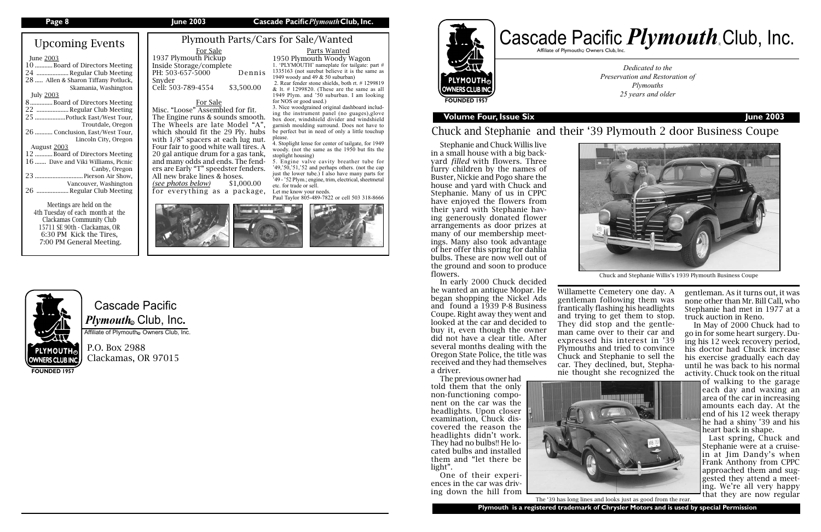# Cascade Pacific *Plymouth*。Club, Inc.

Affiliate of Plymouth Owners Club, Inc.

P.O. Box 2988 Clackamas, OR 97015

# Upcoming Events

#### June 2003

| 10 Board of Directors Meeting       |
|-------------------------------------|
| 24  Regular Club Meeting            |
| 28  Allen & Sharon Tiffany Potluck, |
| Skamania, Washington                |
| <b>July 2003</b>                    |
| 8Board of Directors Meeting         |
| 22  Regular Club Meeting            |
| 25 Potluck East/West Tour,          |
| Troutdale, Oregon                   |
| 26  Conclusion, East/West Tour,     |
| Lincoln City, Oregon                |
| August 2003                         |
| 12 Board of Directors Meeting       |
| 16  Dave and Viki Williams, Picnic  |
| Canby, Oregon                       |
| 23  Pierson Air Show,               |
| Vancouver, Washington               |
| 26  Regular Club Meeting            |
| Meetings are held on the            |

# **OWNERS CLUB INC FOUNDED 1957**

Affiliate of Plymouth $_{\tiny \textcircled{\tiny \textcirc}}$  Owners Club, Inc.



1937 Plymouth Pickup Inside Storage/complete PH: 503-657-5000 Dennis Snyder Cell: 503-789-4554 \$3,500.00

4th Tuesday of each month at the Clackamas Community Club 15711 SE 90th - Clackamas, OR 6:30 PM Kick the Tires, 7:00 PM General Meeting.

**FOUNDED 1957**

## **Page 8 June 2003 Cascade Pacific***Plymouth***Club, Inc.**

**Volume Four, Issue Six June 2003**

*Dedicated to the Preservation and Restoration of Plymouths 25 years and older*

# Chuck and Stephanie and their '39 Plymouth 2 door Business Coupe

## For Sale

#### Plymouth Parts/Cars for Sale/Wanted For Sale Parts Wanted

Misc. "Loose" Assembled for fit. The Engine runs & sounds smooth. The Wheels are late Model "A", which should fit the 29 Ply. hubs with  $1/8$ " spacers at each lug nut. Four fair to good white wall tires. A 20 gal antique drum for a gas tank, and many odds and ends. The fenders are Early "T" speedster fenders. All new brake lines & hoses. *(see photos below)* \$1,000.00

for everything as a package,



1950 Plymouth Woody Wagon 1. 'PLYMOUTH' nameplate for tailgate: part # 1335163 (not surebut believe it is the same as

1949 woody and 49 & 50 suburban)

 2. Rear fender stone shields, both rt. # 1299819 & lt.  $\#$  1299820. (These are the same as all 1949 Plym. and '50 suburban. I am looking

for NOS or good used.)

3. Nice woodgrained original dashboard including the instrument panel (no guages),glove box door, windshield divider and windshield garnish moulding surround. Does not have to be perfect but in need of only a little touchup

please.



4. Stoplight lense for center of tailgate, for 1949 woody. (not the same as the 1950 but fits the



stoplight housing) 5. Engine valve cavity breather tube for '49,'50,'51,'52 and perhaps others. (not the cap just the lower tube.) I also have many parts for '49 - '52 Plym.; engine, trim, electrical, sheetmetal etc. for trade or sell. Let me know your needs. Paul Taylor 805-489-7822 or cell 503 318-8666

Stephanie and Chuck Willis live in a small house with a big backyard *filled* with flowers. Three furry children by the names of Buster, Nickie and Pogo share the house and yard with Chuck and Stephanie. Many of us in CPPC have enjoyed the flowers from their yard with Stephanie having generously donated flower arrangements as door prizes at many of our membership meetings. Many also took advantage of her offer this spring for dahlia bulbs. These are now well out of the ground and soon to produce flowers.

> **Plymouth is a registered trademark of Chrysler Motors and is used by special Permission** The '39 has long lines and looks just as good from the rear.

In early 2000 Chuck decided he wanted an antique Mopar. He began shopping the Nickel Ads and found a 1939 P-8 Business Coupe. Right away they went and looked at the car and decided to buy it, even though the owner did not have a clear title. After several months dealing with the Oregon State Police, the title was received and they had themselves a driver.

The previous owner had told them that the only non-functioning component on the car was the headlights. Upon closer examination, Chuck discovered the reason the headlights didn't work. They had no bulbs!! He located bulbs and installed them and "let there be light".

One of their experiences in the car was driving down the hill from

Willamette Cemetery one day. A gentleman following them was frantically flashing his headlights and trying to get them to stop. They did stop and the gentleman came over to their car and expressed his interest in '39 Plymouths and tried to convince Chuck and Stephanie to sell the car. They declined, but, Stephanie thought she recognized the





gentleman. As it turns out, it was none other than Mr. Bill Call, who Stephanie had met in 1977 at a truck auction in Reno.

In May of 2000 Chuck had to go in for some heart surgery. Duing his 12 week recovery period, his doctor had Chuck increase his exercise gradually each day until he was back to his normal activity. Chuck took on the ritual

of walking to the garage each day and waxing an area of the car in increasing amounts each day. At the end of his 12 week therapy he had a shiny '39 and his heart back in shape.

Last spring, Chuck and Stephanie were at a cruisein at Jim Dandy's when Frank Anthony from CPPC approached them and suggested they attend a meeting. We're all very happy that they are now regular

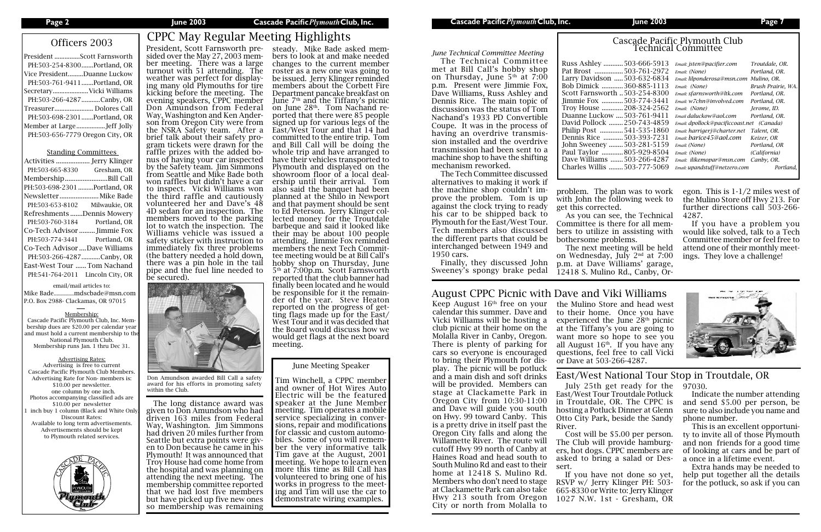| President Scott Farnsworth      |
|---------------------------------|
| PH:503-254-8300Portland, OR     |
| Vice PresidentDuanne Luckow     |
| PH:503-761-9411Portland, OR     |
| SecretaryVicki Williams         |
| PH:503-266-4287Canby, OR        |
| Treasurer Dolores Call          |
| PH:503-698-2301Portland, OR     |
| Member at LargeJeff Jolly       |
| PH:503-656-7779 Oregon City, OR |
|                                 |

#### Standing Committees

| PH:503-665-8330                  | Gresham, OR   |
|----------------------------------|---------------|
| MembershipBill Call              |               |
| PH:503-698-2301 Portland, OR     |               |
| Newsletter  Mike Bade            |               |
| PH:503-653-8102                  | Milwaukie, OR |
| Refreshments Dennis Mowery       |               |
| PH:503-760-3184                  | Portland, OR  |
| Co-Tech Advisor  Jimmie Fox      |               |
| PH:503-774-3441 Portland, OR     |               |
| Co-Tech Advisor  Dave Williams   |               |
| PH:503-266-4287 Canby, OR        |               |
| East-West Tour Tom Nachand       |               |
| PH:541-764-2011 Lincoln City, OR |               |

email/mail articles to:

Mike Bade..............mdscbade@msn.com P.O. Box 2988- Clackamas, OR 97015

#### Membership:

Cascade Pacific Plymouth Club, Inc. Membership dues are \$20.00 per calendar year and must hold a current membership to the National Plymouth Club. Membership runs Jan. 1 thru Dec 31.

#### Advertising Rates:

Advertising is free to current Cascade Pacific Plymouth Club Members. Advertising Rate for Non- members is: \$10.00 per newsletter. one column by one inch. Photos accompanying classified ads are \$10.00 per newsletter inch buy 1 column (Black and White Only Discount Rates: Available to long term advertisements. Advertisements should be kept to Plymouth related services.



# Officers 2003 CPPC May Regular Meeting Highlights

sided over the May 27, 2003 mem- ber meeting. There was a large turnout with 51 attending. The weather was perfect for display- ing many old Plymouths for tire kicking before the meeting. The evening speakers, CPPC member Don Amundson from Federal<br>Way, Washington and Ken Anderson from Oregon City were from the NSRA Safety team. After a<br>brief talk about their safety program tickets were drawn for the<br>raffle prizes with the added bonus of having your car inspected by the Safety team. Jim Simmons from Seattle and Mike Bade both won raffles but didn't have a car to inspect. Vicki Williams won the third raffle and cautiously

volunteered her and Dave's 48 4D sedan for an inspection. The members moved to the parking lot to watch the inspection. The Williams vehicle was issued a safety sticker with instruction to immediately fix three problems (the battery needed a hold down, there was a pin hole in the tail pipe and the fuel line needed to be secured).



## *June Technical Committee Meeting*

The Technical Committee met at Bill Call's hobby shop on Thursday, June  $5<sup>th</sup>$  at 7:00 p.m. Present were Jimmie Fox, Dave Williams, Russ Ashley and Dennis Rice. The main topic of discussion was the status of Tom Nachand's 1933 PD Convertible Coupe. It was in the process of having an overdrive transmission installed and the overdrive transmission had been sent to a machine shop to have the shifting mechanism reworked.

President, Scott Farnsworth pre-steady. Mike Bade asked members to look at and make needed changes to the current member roster as a new one was going to be issued. Jerry Klinger reminded members about the Corbett Fire Department pancake breakfast on June  $7<sup>th</sup>$  and the Tiffany's picnic<br>on June  $28<sup>th</sup>$ . Tom Nachand reported that there were 85 people signed up for various legs of the East/West Tour and that 14 had committed to the entire trip. Tom and Bill Call will be doing the whole trip and have arranged to have their vehicles transported to Plymouth and displayed on the showroom floor of a local dealership until their arrival. Tom also said the banquet had been planned at the Shilo in Newport and that payment should be sent to Ed Peterson. Jerry Klinger collected money for the Troutdale barbeque and said it looked like their may be about 100 people attending. Jimmie Fox reminded members the next Tech Committee meeting would be at Bill Call's hobby shop on Thursday, June 5th at 7:00p.m. Scott Farnsworth reported that the club banner had finally been located and he would be responsible for it the remainder of the year. Steve Heaton reported on the progress of getting flags made up for the East/ West Tour and it was decided that the Board would discuss how we would get flags at the next board meeting.

The Tech Committee discussed alternatives to making it work if the machine shop couldn't improve the problem. Tom is up against the clock trying to ready his car to be shipped back to Plymouth for the East/West Tour. Tech members also discussed the different parts that could be interchanged between 1949 and 1950 cars.

Finally, they discussed John Sweeney's spongy brake pedal

Keep August 16<sup>th</sup> free on your the Mulino Store and head west to their home. Once you have experienced the June  $28<sup>th</sup>$  picnic at the Tiffany's you are going to want more so hope to see you all August  $16<sup>th</sup>$ . If you have any questions, feel free to call Vicki or Dave at 503-266-4287.

# Cascade Pacific Plymouth Club Technical Committee

| 503-666-5913      | Email: isten@pacifier.com                 | Troutdale, OR.     |
|-------------------|-------------------------------------------|--------------------|
| 503-761-2972      | Email: (None)                             | Portland, OR.      |
| on 503-632-6834   | Email: lilponderosa@msn.com               | Mulino, OR.        |
| 360-885-1113<br>. | Email: (None)                             | Brush Prairie, WA. |
| orth 503-254-8300 | Email: sfarnsworth@ltk.com                | Portland, OR.      |
| 503-774-3441      | Email: w7chn@involved.com                 | Portland, OR.      |
| 208-324-2562      | Email: (None)                             | Jerome, ID.        |
| .ow  503-761-9411 | Email daluckow@aol.com                    | Portland, OR.      |
| k 250-743-4859    | Email: dpollock@pacificcoast.net (Canada) |                    |
| 541-535-1860      | Email: harrigerj@charter.net              | Talent, OR.        |
| 503-393-7231      | Email: barice45@aol.com                   | Keizer, OR         |
| y 503-281-5159    | Email: (None)                             | Portland, OR       |
| 805-929-8504      | Email: (None)                             | (California)       |
| is 503-266-4287   | Email: ilikemopar@msn.com                 | Canby, OR.         |
| s 503-777-5069    | Email: upandstuff@netzero.com             | Portland.          |
|                   |                                           |                    |

Russ Ashley ...........503-666-5913 *Email: jsten@pacifier.com Troutdale, OR.* Pat Brost ................503-761-2972 *Email: (None) Portland, OR.* Larry Davids Bob Dimick ............360-885-1113 *Email: (None) Brush Prairie, WA.* Scott Farnsw Jimmie Fox... Troy House ............208-324-2562 *Email: (None) Jerome, ID.* Duanne Luckow ....503-761-9411 *Email daluckow@aol.com Portland, OR.* David Pollock ........250-743-4859 *Email: dpollock@pacificcoast.net (Canada)* Philip Post ... Dennis Rice ...........503-393-7231 *Email: barice45@aol.com Keizer, OR* John Sweeney ........503-281-5159 *Email: (None) Portland, OR* Paul Taylor ............805-929-8504 *Email: (None) (California)* Dave Williams .......503-266-4287 *Email: ilikemopar@msn.com Canby, OR.* Charles Willis ........503-777-5069 *Email: upandstuff@netzero.com Portland,* 

calendar this summer. Dave and Vicki Williams will be hosting a club picnic at their home on the Molalla River in Canby, Oregon. There is plenty of parking for cars so everyone is encouraged to bring their Plymouth for display. The picnic will be potluck and a main dish and soft drinks will be provided. Members can stage at Clackamette Park in Oregon City from 10:30-11:00 and Dave will guide you south on Hwy. 99 toward Canby. This is a pretty drive in itself past the Oregon City falls and along the Willamette River. The route will cutoff Hwy 99 north of Canby at Haines Road and head south to South Mulino Rd and east to their home at 12418 S. Mulino Rd. Members who don't need to stage at Clackamette Park can also take Hwy 213 south from Oregon City or north from Molalla to

## June Meeting Speaker

Tim Winchell, a CPPC member and owner of Hot Wires Auto Electric will be the featured speaker at the June Member meeting. Tim operates a mobile<br>service specializing in conversions, repair and modifications<br>for classic and custom automobiles. Some of you will remem-<br>ber the very informative talk Tim gave at the August, 2001 meeting. We hope to learn even more this time as Bill Call has volunteered to bring one of his works in progress to the meeting and Tim will use the car to demonstrate wiring examples.

problem. The plan was to work with John the following week to get this corrected.

As you can see, the Technical Committee is there for all members to utilize in assisting with

bothersome problems.

The next meeting will be held on Wednesday, July 2nd at 7:00 p.m. at Dave Williams' garage, 12418 S. Mulino Rd., Canby, Oregon. This is 1-1/2 miles west of the Mulino Store off Hwy 213. For further directions call 503-266- 4287.

If you have a problem you would like solved, talk to a Tech Committee member or feel free to attend one of their monthly meetings. They love a challenge!



July 25th get ready for the East/West Tour Troutdale Potluck in Troutdale, OR. The CPPC is hosting a Potluck Dinner at Glenn Otto City Park, beside the Sandy River.

Cost will be \$5.00 per person. The Club will provide hamburgers, hot dogs. CPPC members are asked to bring a salad or Dessert.

If you have not done so yet, RSVP w/ Jerry Klinger PH: 503- 665-8330 or Write to: Jerry Klinger 1027 N.W. 1st - Gresham, OR

Don Amundson awarded Bill Call a safety award for his efforts in promoting safety within the Club.

 The long distance award was given to Don Amundson who had driven 163 miles from Federal Way, Washington. Jim Simmons had driven 20 miles further from Seattle but extra points were giv- en to Don because he came in his Plymouth! It was announced that Troy House had come home from the hospital and was planning on attending the next meeting. The membership committee reported that we had lost five members but have picked up five new ones so membership was remaining

## August CPPC Picnic with Dave and Viki Williams

## East/West National Tour Stop in Troutdale, OR

97030.

Indicate the number attending and send \$5.00 per person, be sure to also include you name and phone number.

This is an excellent opportunity to invite all of those Plymouth and non friends for a good time of looking at cars and be part of a once in a lifetime event.

Extra hands may be needed to help put together all the details for the potluck, so ask if you can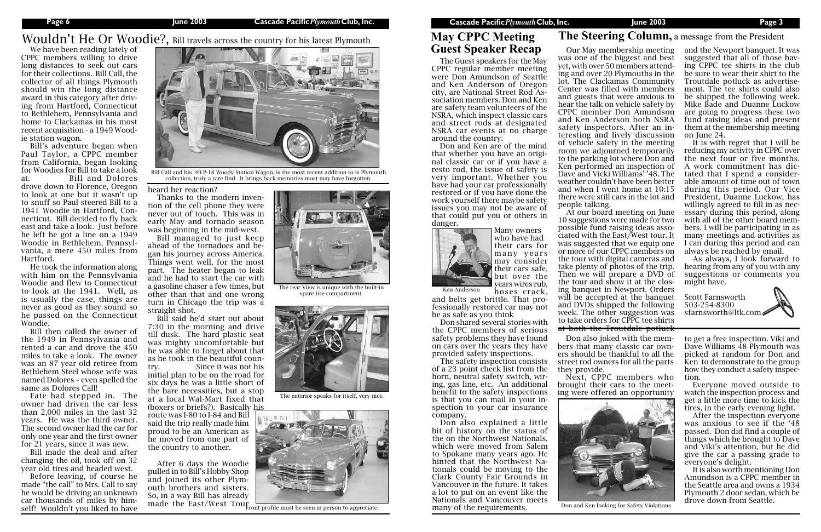## **Page 6 June 2003 Cascade Pacific***Plymouth***Club, Inc. Cascade Pacific***Plymouth***Club, Inc. June 2003 Page 3**

We have been reading lately of CPPC members willing to drive long distances to seek out cars for their collections. Bill Call, the collector of all things Plymouth should win the long distance award in this category after driving from Hartford, Connecticut to Bethlehem, Pennsylvania and home to Clackamas in his most recent acquisition - a 1949 Wood-

ie station wagon.

Bill's adventure began when Paul Taylor, a CPPC member from California, began looking for Woodies for Bill to take a look at. Bill and Dolores drove down to Florence, Oregon to look at one but it wasn't up to snuff so Paul steered Bill to a 1941 Woodie in Hartford, Connecticut. Bill decided to fly back east and take a look. Just before he left he got a line on a 1949 Woodie in Bethlehem, Pennsylvania, a mere 450 miles from

Hartford.

He took the information along with him on the Pennsylvania Woodie and flew to Connecticut to look at the 1941. Well, as is usually the case, things are never as good as they sound so he passed on the Connecticut

Woodie.

Bill then called the owner of the 1949 in Pennsylvania and rented a car and drove the 450 miles to take a look. The owner was an 87 year old retiree from Bethlehem Steel whose wife was named Dolores – even spelled the

same as Dolores Call!

After 6 days the Woodie pulled in to Bill's Hobby Shop and joined its other Plymouth brothers and sisters. So, in a way Bill has already made the East/West Tour Front profile must be seen in person to appreciate.

Fate had stepped in. The owner had driven the car less than 2,000 miles in the last 32 years. He was the third owner. The second owner had the car for only one year and the first owner for 21 years, since it was new. Bill made the deal and after changing the oil, took off on 32 year old tires and headed west. Before leaving, of course he made "the call" to Mrs. Call to say he would be driving an unknown car thousands of miles by himself! Wouldn't you liked to have

heard her reaction?

Thanks to the modern invention of the cell phone they were never out of touch. This was in early May and tornado season was beginning in the mid-west.

Bill managed to just keep ahead of the tornadoes and began his journey across America. Things went well, for the most part. The heater began to leak and he had to start the car with a gasoline chaser a few times, but other than that and one wrong turn in Chicago the trip was a straight shot.

Bill said he'd start out about 7:30 in the morning and drive till dusk. The hard plastic seat was mighty uncomfortable but he was able to forget about that as he took in the beautiful country. Since it was not his initial plan to be on the road for six days he was a little short of the bare necessities, but a stop at a local Wal-Mart fixed that (boxers or briefs?). Basically his route was I-80 to I-84 and Bill said the trip really made him proud to be an American as he moved from one part of the country to another.

Our May membership meeting was one of the biggest and best yet, with over 50 members attending and over 20 Plymouths in the lot. The Clackamas Community Center was filled with members and guests that were anxious to hear the talk on vehicle safety by CPPC member Don Amundson and Ken Anderson both NSRA safety inspectors. After an interesting and lively discussion of vehicle safety in the meeting room we adjourned temporarily to the parking lot where Don and Ken performed an inspection of Dave and Vicki Williams' '48. The weather couldn't have been better and when I went home at 10:15 there were still cars in the lot and people talking.

many years hoses crack, and belts get brittle. That professionally restored car may not

At our board meeting on June 10 suggestions were made for two possible fund raising ideas associated with the East/West tour. It was suggested that we equip one or more of our CPPC members on the tour with digital cameras and take plenty of photos of the trip. Then we will prepare a DVD of the tour and show it at the closing banquet in Newport. Orders will be accepted at the banquet and DVDs shipped the following week. The other suggestion was to take orders for CPPC tee shirts at both the Troutdale potluck

## **The Steering Column,** a message from the President

and the Newport banquet. It was suggested that all of those having CPPC tee shirts in the club be sure to wear their shirt to the Troutdale potluck as advertisement. The tee shirts could also be shipped the following week. Mike Bade and Duanne Luckow are going to progress these two fund raising ideas and present them at the membership meeting on June 24.

It is with regret that I will be reducing my activity in CPPC over the next four or five months. A work commitment has dictated that I spend a considerable amount of time out of town during this period. Our Vice President, Duanne Luckow, has willingly agreed to fill in as necessary during this period, along with all of the other board members. I will be participating in as many meetings and activities as I can during this period and can always be reached by email.

As always, I look forward to hearing from any of you with any suggestions or comments you might have.



The Guest speakers for the May CPPC regular member meeting were Don Amundson of Seattle and Ken Anderson of Oregon city, are National Street Rod Association members. Don and Ken are safety team volunteers of the NSRA, which inspect classic cars and street rods at designated NSRA car events at no charge around the country.

Don and Ken are of the mind that whether you have an original classic car or if you have a resto rod, the issue of safety is very important. Whether you have had your car professionally restored or if you have done the work yourself there maybe safety issues you may not be aware of that could put you or others in danger.

> Don also joked with the members that many classic car owners should be thankful to all the street rod owners for all the parts

they provide.



Wouldn't He Or Woodie?, Bill travels across the country for his latest Plymouth



Next, CPPC members who brought their cars to the meeting were offered an opportunity

to get a free inspection. Viki and Dave Williams 48 Plymouth was picked at random for Don and Ken to demonstrate to the group how they conduct a safety inspection.

Everyone moved outside to watch the inspection process and get a little more time to kick the tires, in the early evening light.

After the inspection everyone was anxious to see if the '48 passed. Don did find a couple of things which he brought to Dave and Viki's attention, but he did give the car a passing grade to everyone's delight.

It is also worth mentioning Don Amundson is a CPPC member in the Seattle area and owns a 1934 Plymouth 2 door sedan, which he drove down from Seattle.

## **May CPPC Meeting Guest Speaker Recap**



The enterior speaks for itself, very nice.



The rear View is unique with the built-in



spare tire compartment.

Bill Call and his '49 P-18 Woody Station Wagon, is the most recent addition to is Plymouth collection, truly a rare find. It brings back memories most may have forgotten.



Don and Ken looking for Safety Violations



Many owners who have had their cars for may consider their cars safe, but over the years wires rub,

be as safe as you think Don shared several stories with the CPPC members of serious safety problems they have found on cars over the years they have

provided safety inspections.

The safety inspection consists of a 23 point check list from the horn, neutral safety switch, wiring, gas line, etc. An additional benefit to the safety inspections is that you can mail in your inspection to your car insurance company.

Don also explained a little bit of history on the status of the on the Northwest Nationals, which were moved from Salem to Spokane many years ago. He hinted that the Northwest Nationals could be moving to the Clark County Fair Grounds in Vancouver in the future. It takes a lot to put on an event like the Nationals and Vancouver meets many of the requirements.